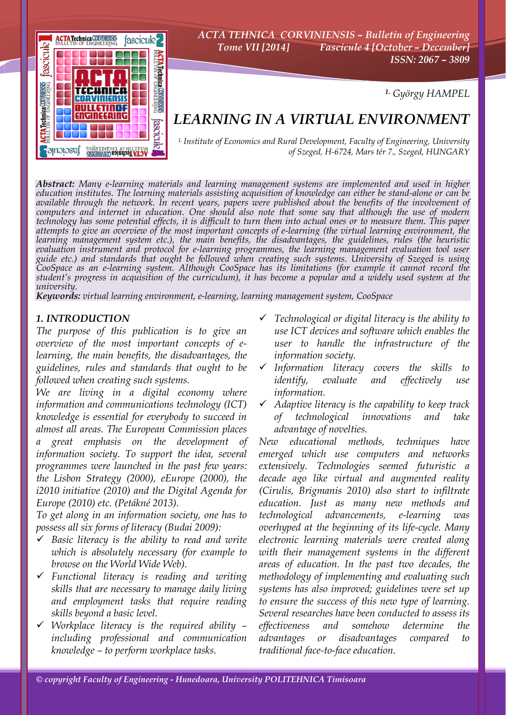

*ACTA TEHNICA CORVINIENSIS – Bulletin of Engineering Tome VII [2014] Fascicule 4 [October – December] ISSN: 2067 – 3809* 

*1. György HAMPEL*

# *LEARNING IN A VIRTUAL ENVIRONMENT*

*1. Institute of Economics and Rural Development, Faculty of Engineering, University of Szeged, H-6724, Mars tér 7., Szeged, HUNGARY*

*Abstract: Many e-learning materials and learning management systems are implemented and used in higher*  available through the network. In recent years, papers were published about the benefits of the involvement of *computers and internet in education. One should also note that some say that although the use of modern technology has some potential effects, it is difficult to turn them into actual ones or to measure them. This paper attempts to give an overview of the most important concepts of e-learning (the virtual learning environment, the learning management system etc.), the main benefits, the disadvantages, the guidelines, rules (the heuristic*  evaluation instrument and protocol for e-learning programmes, the learning management evaluation tool user<br>guide etc.) and standards that ought be followed when creating such systems. University of Szeged is using *CooSpace as an e-learning system. Although CooSpace has its limitations (for example it cannot record the student's progress in acquisition of the curriculum), it has become a popular and a widely used system at the university.* 

*Keywords: virtual learning environment, e-learning, learning management system, CooSpace*

## *1. INTRODUCTION*

*The purpose of this publication is to give an overview of the most important concepts of elearning, the main benefits, the disadvantages, the guidelines, rules and standards that ought to be followed when creating such systems.* 

*We are living in a digital economy where information and communications technology (ICT) knowledge is essential for everybody to succeed in almost all areas. The European Commission places a great emphasis on the development of information society. To support the idea, several programmes were launched in the past few years: the Lisbon Strategy (2000), eEurope (2000), the i2010 initiative (2010) and the Digital Agenda for Europe (2010) etc. (Petákné 2013).* 

*To get along in an information society, one has to possess all six forms of literacy (Budai 2009):* 

- 9 *Basic literacy is the ability to read and write which is absolutely necessary (for example to browse on the World Wide Web).*
- 9 *Functional literacy is reading and writing skills that are necessary to manage daily living and employment tasks that require reading skills beyond a basic level.*
- 9 *Workplace literacy is the required ability including professional and communication knowledge – to perform workplace tasks.*
- 9 *Technological or digital literacy is the ability to use ICT devices and software which enables the user to handle the infrastructure of the information society.*
- 9 *Information literacy covers the skills to identify, evaluate and effectively use information.*
- 9 *Adaptive literacy is the capability to keep track of technological innovations and take advantage of novelties.*

*New educational methods, techniques have emerged which use computers and networks extensively. Technologies seemed futuristic a decade ago like virtual and augmented reality (Cirulis, Brigmanis 2010) also start to infiltrate education. Just as many new methods and technological advancements, e-learning was overhyped at the beginning of its life-cycle. Many electronic learning materials were created along with their management systems in the different areas of education. In the past two decades, the methodology of implementing and evaluating such systems has also improved; guidelines were set up to ensure the success of this new type of learning. Several researches have been conducted to assess its effectiveness and somehow determine the advantages or disadvantages compared to traditional face-to-face education.*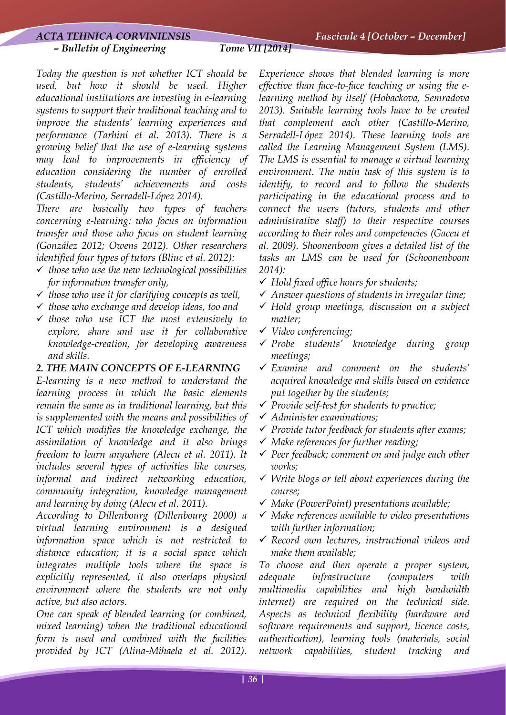# *ACTA TEHNICA CORVINIENSIS Fascicule 4 [October – December]*

#### *– Bulletin of Engineering Tome VII [2014]*

*Today the question is not whether ICT should be used, but how it should be used. Higher educational institutions are investing in e-learning systems to support their traditional teaching and to improve the students' learning experiences and performance (Tarhini et al. 2013). There is a growing belief that the use of e-learning systems may lead to improvements in efficiency of education considering the number of enrolled students, students' achievements and costs (Castillo-Merino, Serradell-López 2014).* 

*There are basically two types of teachers concerning e-learning: who focus on information transfer and those who focus on student learning (González 2012; Owens 2012). Other researchers identified four types of tutors (Bliuc et al. 2012):* 

- 9 *those who use the new technological possibilities for information transfer only,*
- 9 *those who use it for clarifying concepts as well,*
- 9 *those who exchange and develop ideas, too and*
- 9 *those who use ICT the most extensively to explore, share and use it for collaborative knowledge-creation, for developing awareness and skills.*

## *2. THE MAIN CONCEPTS OF E-LEARNING*

*E-learning is a new method to understand the learning process in which the basic elements remain the same as in traditional learning, but this is supplemented with the means and possibilities of ICT which modifies the knowledge exchange, the assimilation of knowledge and it also brings freedom to learn anywhere (Alecu et al. 2011). It includes several types of activities like courses, informal and indirect networking education, community integration, knowledge management and learning by doing (Alecu et al. 2011).* 

*According to Dillenbourg (Dillenbourg 2000) a virtual learning environment is a designed information space which is not restricted to distance education; it is a social space which integrates multiple tools where the space is explicitly represented, it also overlaps physical environment where the students are not only active, but also actors.* 

*One can speak of blended learning (or combined, mixed learning) when the traditional educational form is used and combined with the facilities provided by ICT (Alina-Mihaela et al. 2012).* 

*Experience shows that blended learning is more effective than face-to-face teaching or using the elearning method by itself (Hobackova, Semradova 2013). Suitable learning tools have to be created that complement each other (Castillo-Merino, Serradell-López 2014). These learning tools are called the Learning Management System (LMS). The LMS is essential to manage a virtual learning environment. The main task of this system is to identify, to record and to follow the students participating in the educational process and to connect the users (tutors, students and other administrative staff) to their respective courses according to their roles and competencies (Gaceu et al. 2009). Shoonenboom gives a detailed list of the tasks an LMS can be used for (Schoonenboom 2014):* 

- 9 *Hold fixed office hours for students;*
- 9 *Answer questions of students in irregular time;*
- 9 *Hold group meetings, discussion on a subject matter;*
- 9 *Video conferencing;*
- 9 *Probe students' knowledge during group meetings;*
- 9 *Examine and comment on the students' acquired knowledge and skills based on evidence put together by the students;*
- 9 *Provide self-test for students to practice;*
- 9 *Administer examinations;*
- 9 *Provide tutor feedback for students after exams;*
- 9 *Make references for further reading;*
- 9 *Peer feedback; comment on and judge each other works;*
- 9 *Write blogs or tell about experiences during the course;*
- 9 *Make (PowerPoint) presentations available;*
- 9 *Make references available to video presentations with further information;*
- 9 *Record own lectures, instructional videos and make them available;*

*To choose and then operate a proper system, adequate infrastructure (computers with multimedia capabilities and high bandwidth internet) are required on the technical side. Aspects as technical flexibility (hardware and software requirements and support, licence costs, authentication), learning tools (materials, social network capabilities, student tracking and*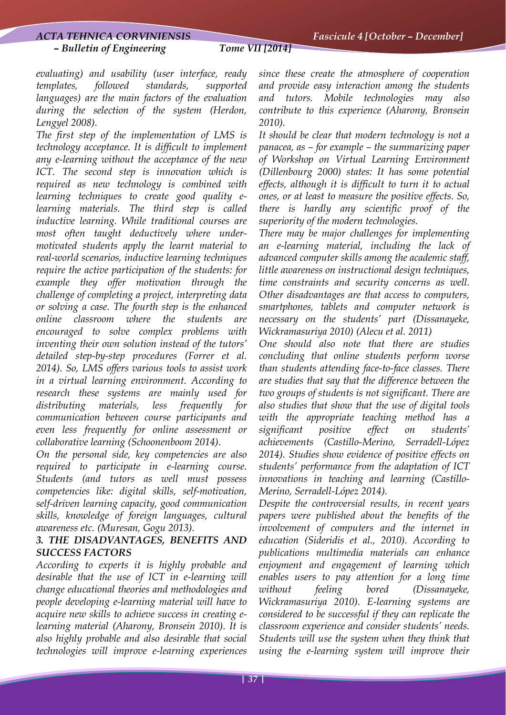#### *– Bulletin of Engineering Tome VII [2014]*

*evaluating) and usability (user interface, ready templates, followed standards, supported languages) are the main factors of the evaluation during the selection of the system (Herdon, Lengyel 2008).* 

*The first step of the implementation of LMS is technology acceptance. It is difficult to implement any e-learning without the acceptance of the new ICT. The second step is innovation which is required as new technology is combined with learning techniques to create good quality elearning materials. The third step is called inductive learning. While traditional courses are most often taught deductively where undermotivated students apply the learnt material to real-world scenarios, inductive learning techniques require the active participation of the students: for example they offer motivation through the challenge of completing a project, interpreting data or solving a case. The fourth step is the enhanced online classroom where the students are encouraged to solve complex problems with inventing their own solution instead of the tutors' detailed step-by-step procedures (Forrer et al. 2014). So, LMS offers various tools to assist work in a virtual learning environment. According to research these systems are mainly used for distributing materials, less frequently for communication between course participants and even less frequently for online assessment or collaborative learning (Schoonenboom 2014).* 

*On the personal side, key competencies are also required to participate in e-learning course. Students (and tutors as well must possess competencies like: digital skills, self-motivation, self-driven learning capacity, good communication skills, knowledge of foreign languages, cultural awareness etc. (Muresan, Gogu 2013).* 

# *3. THE DISADVANTAGES, BENEFITS AND SUCCESS FACTORS*

*According to experts it is highly probable and desirable that the use of ICT in e-learning will change educational theories and methodologies and people developing e-learning material will have to acquire new skills to achieve success in creating elearning material (Aharony, Bronsein 2010). It is also highly probable and also desirable that social technologies will improve e-learning experiences* 

*since these create the atmosphere of cooperation and provide easy interaction among the students and tutors. Mobile technologies may also contribute to this experience (Aharony, Bronsein 2010).* 

*It should be clear that modern technology is not a panacea, as – for example – the summarizing paper of Workshop on Virtual Learning Environment (Dillenbourg 2000) states: It has some potential effects, although it is difficult to turn it to actual ones, or at least to measure the positive effects. So, there is hardly any scientific proof of the superiority of the modern technologies.* 

*There may be major challenges for implementing an e-learning material, including the lack of advanced computer skills among the academic staff, little awareness on instructional design techniques, time constraints and security concerns as well. Other disadvantages are that access to computers, smartphones, tablets and computer network is necessary on the students' part (Dissanayeke, Wickramasuriya 2010) (Alecu et al. 2011)* 

*One should also note that there are studies concluding that online students perform worse than students attending face-to-face classes. There are studies that say that the difference between the two groups of students is not significant. There are also studies that show that the use of digital tools with the appropriate teaching method has a significant positive effect on students' achievements (Castillo-Merino, Serradell-López 2014). Studies show evidence of positive effects on students' performance from the adaptation of ICT innovations in teaching and learning (Castillo-Merino, Serradell-López 2014).* 

*Despite the controversial results, in recent years papers were published about the benefits of the involvement of computers and the internet in education (Sideridis et al., 2010). According to publications multimedia materials can enhance enjoyment and engagement of learning which enables users to pay attention for a long time without feeling bored (Dissanayeke, Wickramasuriya 2010). E-learning systems are considered to be successful if they can replicate the classroom experience and consider students' needs. Students will use the system when they think that using the e-learning system will improve their*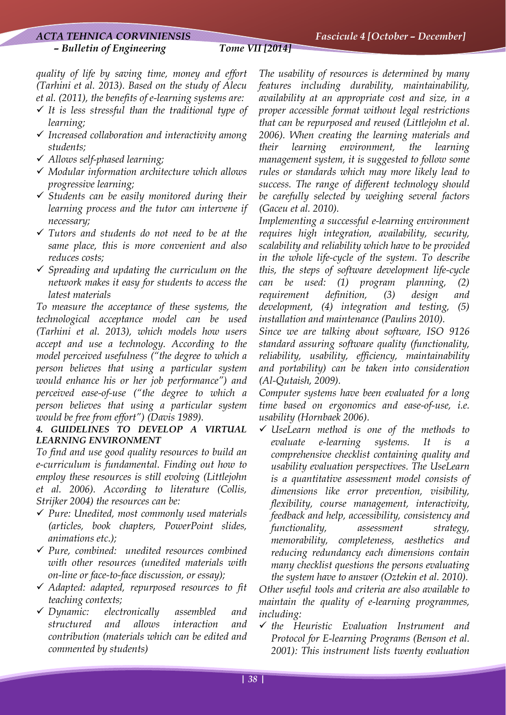#### *ACTA TEHNICA CORVINIENSIS Fascicule 4 [October – December]*

#### *– Bulletin of Engineering Tome VII [2014]*

*quality of life by saving time, money and effort (Tarhini et al. 2013). Based on the study of Alecu et al. (2011), the benefits of e-learning systems are:* 

- $\checkmark$  It is less stressful than the traditional type of *learning;*
- 9 *Increased collaboration and interactivity among students;*
- 9 *Allows self-phased learning;*
- 9 *Modular information architecture which allows progressive learning;*
- 9 *Students can be easily monitored during their learning process and the tutor can intervene if necessary;*
- 9 *Tutors and students do not need to be at the same place, this is more convenient and also reduces costs;*
- 9 *Spreading and updating the curriculum on the network makes it easy for students to access the latest materials*

*To measure the acceptance of these systems, the technological acceptance model can be used (Tarhini et al. 2013), which models how users accept and use a technology. According to the model perceived usefulness ("the degree to which a person believes that using a particular system would enhance his or her job performance") and perceived ease-of-use ("the degree to which a person believes that using a particular system would be free from effort") (Davis 1989).* 

## *4. GUIDELINES TO DEVELOP A VIRTUAL LEARNING ENVIRONMENT*

*To find and use good quality resources to build an e-curriculum is fundamental. Finding out how to employ these resources is still evolving (Littlejohn et al. 2006). According to literature (Collis, Strijker 2004) the resources can be:* 

- 9 *Pure: Unedited, most commonly used materials (articles, book chapters, PowerPoint slides, animations etc.);*
- 9 *Pure, combined: unedited resources combined with other resources (unedited materials with on-line or face-to-face discussion, or essay);*
- 9 *Adapted: adapted, repurposed resources to fit teaching contexts;*
- 9 *Dynamic: electronically assembled and structured and allows interaction and contribution (materials which can be edited and commented by students)*

*The usability of resources is determined by many features including durability, maintainability, availability at an appropriate cost and size, in a proper accessible format without legal restrictions that can be repurposed and reused (Littlejohn et al. 2006). When creating the learning materials and their learning environment, the learning management system, it is suggested to follow some rules or standards which may more likely lead to success. The range of different technology should be carefully selected by weighing several factors (Gaceu et al. 2010).* 

*Implementing a successful e-learning environment requires high integration, availability, security, scalability and reliability which have to be provided in the whole life-cycle of the system. To describe this, the steps of software development life-cycle can be used: (1) program planning, (2) requirement definition, (3) design and development, (4) integration and testing, (5) installation and maintenance (Paulins 2010).* 

*Since we are talking about software, ISO 9126 standard assuring software quality (functionality, reliability, usability, efficiency, maintainability and portability) can be taken into consideration (Al-Qutaish, 2009).* 

*Computer systems have been evaluated for a long time based on ergonomics and ease-of-use, i.e. usability (Hornbaek 2006).* 

9 *UseLearn method is one of the methods to evaluate e-learning systems. It is comprehensive checklist containing quality and usability evaluation perspectives. The UseLearn is a quantitative assessment model consists of dimensions like error prevention, visibility, flexibility, course management, interactivity, feedback and help, accessibility, consistency and functionality, assessment strategy, memorability, completeness, aesthetics and reducing redundancy each dimensions contain many checklist questions the persons evaluating the system have to answer (Oztekin et al. 2010).* 

*Other useful tools and criteria are also available to maintain the quality of e-learning programmes, including:* 

9 *the Heuristic Evaluation Instrument and Protocol for E-learning Programs (Benson et al. 2001): This instrument lists twenty evaluation*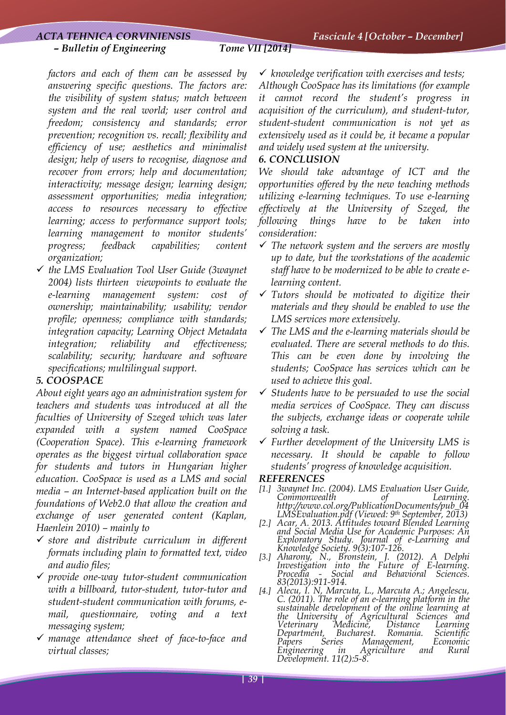### *– Bulletin of Engineering Tome VII [2014]*

*factors and each of them can be assessed by answering specific questions. The factors are: the visibility of system status; match between system and the real world; user control and freedom; consistency and standards; error prevention; recognition vs. recall; flexibility and efficiency of use; aesthetics and minimalist design; help of users to recognise, diagnose and recover from errors; help and documentation; interactivity; message design; learning design; assessment opportunities; media integration; access to resources necessary to effective learning; access to performance support tools; learning management to monitor students' progress; feedback capabilities; content organization;* 

9 *the LMS Evaluation Tool User Guide (3waynet 2004) lists thirteen viewpoints to evaluate the e-learning management system: cost of ownership; maintainability; usability; vendor profile; openness; compliance with standards; integration capacity; Learning Object Metadata integration; reliability and effectiveness; scalability; security; hardware and software specifications; multilingual support.* 

# *5. COOSPACE*

*About eight years ago an administration system for teachers and students was introduced at all the faculties of University of Szeged which was later expanded with a system named CooSpace (Cooperation Space). This e-learning framework operates as the biggest virtual collaboration space for students and tutors in Hungarian higher education. CooSpace is used as a LMS and social media – an Internet-based application built on the foundations of Web2.0 that allow the creation and exchange of user generated content (Kaplan, Haenlein 2010) – mainly to* 

- 9 *store and distribute curriculum in different formats including plain to formatted text, video and audio files;*
- 9 *provide one-way tutor-student communication with a billboard, tutor-student, tutor-tutor and student-student communication with forums, email, questionnaire, voting and a text messaging system;*
- 9 *manage attendance sheet of face-to-face and virtual classes;*

9 *knowledge verification with exercises and tests;* 

*Although CooSpace has its limitations (for example it cannot record the student's progress in acquisition of the curriculum), and student-tutor, student-student communication is not yet as extensively used as it could be, it became a popular and widely used system at the university.* 

# *6. CONCLUSION*

*We should take advantage of ICT and the opportunities offered by the new teaching methods utilizing e-learning techniques. To use e-learning effectively at the University of Szeged, the following things have to be taken into consideration:* 

- 9 *The network system and the servers are mostly up to date, but the workstations of the academic staff have to be modernized to be able to create elearning content.*
- 9 *Tutors should be motivated to digitize their materials and they should be enabled to use the LMS services more extensively.*
- 9 *The LMS and the e-learning materials should be evaluated. There are several methods to do this. This can be even done by involving the students; CooSpace has services which can be used to achieve this goal.*
- 9 *Students have to be persuaded to use the social media services of CooSpace. They can discuss the subjects, exchange ideas or cooperate while solving a task.*
- 9 *Further development of the University LMS is necessary. It should be capable to follow students' progress of knowledge acquisition.*

## *REFERENCES*

- *[1.] 3waynet Inc. (2004). LMS Evaluation User Guide, Commonwealth* of *http://www.col.org/PublicationDocuments/pub\_04*
- *LMSEvaluation.pdf (Viewed: 9th September, 2013) [2.] Acar, A. 2013. Attitudes toward Blended Learning and Social Media Use for Academic Purposes: An Exploratory Study. Journal of e-Learning and*
- *Knowledge Society. 9(3):107-126. [3.] Aharony, N., Bronstein, J. (2012). A Delphi Investigation into the Future of E-learning. Procedia - Social and Behavioral Sciences. 83(2013):911-914.*
- *[4.] Alecu, I. N, Marcuta, L., Marcuta A.; Angelescu, C. (2011). The role of an e-learning platform in the sustainable development of the online learning at the University of Agricultural Sciences and Veterinary Medicine, Distance Learning Department, Bucharest. Romania. Scientific Papers Series Management, Economic Engineering in Agriculture and Rural Development. 11(2):5-8.*